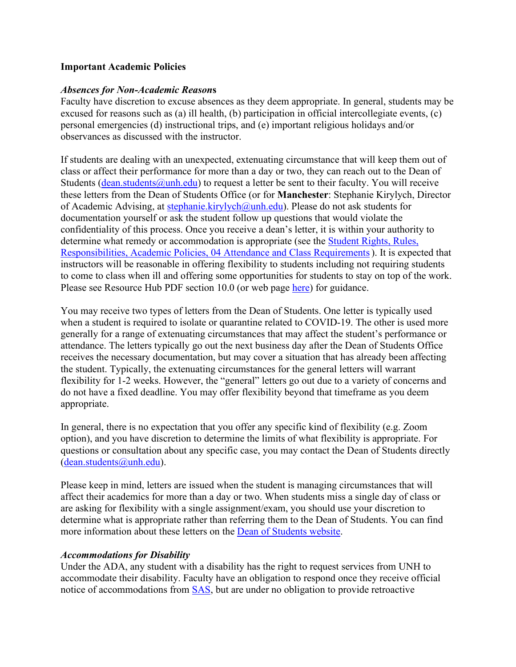#### **Important Academic Policies**

#### *Absences for Non-Academic Reason***s**

Faculty have discretion to excuse absences as they deem appropriate. In general, students may be excused for reasons such as (a) ill health, (b) participation in official intercollegiate events, (c) personal emergencies (d) instructional trips, and (e) important religious holidays and/or observances as discussed with the instructor.

If students are dealing with an unexpected, extenuating circumstance that will keep them out of class or affect their performance for more than a day or two, they can reach out to the Dean of Students (dean.students  $\omega$ unh.edu) to request a letter be sent to their faculty. You will receive these letters from the Dean of Students Office (or for **Manchester**: Stephanie Kirylych, Director of Academic Advising, at [stephanie.kirylych@unh.edu\)](mailto:stephanie.kirylych@unh.edu). Please do not ask students for documentation yourself or ask the student follow up questions that would violate the confidentiality of this process. Once you receive a dean's letter, it is within your authority to determine what remedy or accommodation is appropriate (see the [Student Rights, Rules,](https://www.unh.edu/dean-of-students/sites/default/files/media/2021-08/21-22-srrr-final.pdf)  [Responsibilities, Academic Policies, 04 Attendance and Class Requirements\)](https://www.unh.edu/dean-of-students/sites/default/files/media/2021-08/21-22-srrr-final.pdf). It is expected that instructors will be reasonable in offering flexibility to students including not requiring students to come to class when ill and offering some opportunities for students to stay on top of the work. Please see Resource Hub PDF section 10.0 (or web page [here\)](https://www.unh.edu/provost/guidance-fall-2020-instruction) for guidance.

You may receive two types of letters from the Dean of Students. One letter is typically used when a student is required to isolate or quarantine related to COVID-19. The other is used more generally for a range of extenuating circumstances that may affect the student's performance or attendance. The letters typically go out the next business day after the Dean of Students Office receives the necessary documentation, but may cover a situation that has already been affecting the student. Typically, the extenuating circumstances for the general letters will warrant flexibility for 1-2 weeks. However, the "general" letters go out due to a variety of concerns and do not have a fixed deadline. You may offer flexibility beyond that timeframe as you deem appropriate.

In general, there is no expectation that you offer any specific kind of flexibility (e.g. Zoom option), and you have discretion to determine the limits of what flexibility is appropriate. For questions or consultation about any specific case, you may contact the Dean of Students directly [\(dean.students@unh.edu\)](mailto:dean.students@unh.edu).

Please keep in mind, letters are issued when the student is managing circumstances that will affect their academics for more than a day or two. When students miss a single day of class or are asking for flexibility with a single assignment/exam, you should use your discretion to determine what is appropriate rather than referring them to the Dean of Students. You can find more information about these letters on the [Dean of Students website.](https://www.unh.edu/dean-of-students/processes-policies-protocols/absence-letters-dean-students)

#### *Accommodations for Disability*

Under the ADA, any student with a disability has the right to request services from UNH to accommodate their disability. Faculty have an obligation to respond once they receive official notice of accommodations from [SAS,](https://www.unh.edu/studentaccessibility/about-sas) but are under no obligation to provide retroactive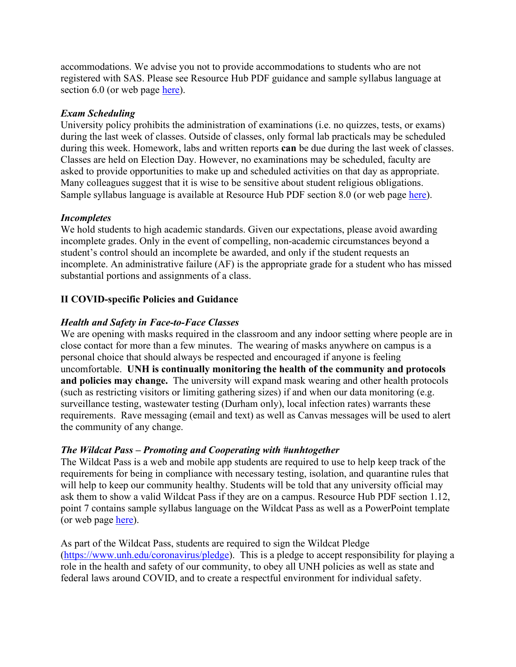accommodations. We advise you not to provide accommodations to students who are not registered with SAS. Please see Resource Hub PDF guidance and sample syllabus language at section 6.0 (or web page [here\)](https://www.unh.edu/provost/guidance-fall-2020-instruction).

### *Exam Scheduling*

University policy prohibits the administration of examinations (i.e. no quizzes, tests, or exams) during the last week of classes. Outside of classes, only formal lab practicals may be scheduled during this week. Homework, labs and written reports **can** be due during the last week of classes. Classes are held on Election Day. However, no examinations may be scheduled, faculty are asked to provide opportunities to make up and scheduled activities on that day as appropriate. Many colleagues suggest that it is wise to be sensitive about student religious obligations. Sample syllabus language is available at Resource Hub PDF section 8.0 (or web page [here\)](https://www.unh.edu/provost/guidance-fall-2020-instruction).

#### *Incompletes*

We hold students to high academic standards. Given our expectations, please avoid awarding incomplete grades. Only in the event of compelling, non-academic circumstances beyond a student's control should an incomplete be awarded, and only if the student requests an incomplete. An administrative failure (AF) is the appropriate grade for a student who has missed substantial portions and assignments of a class.

## **II COVID-specific Policies and Guidance**

## *Health and Safety in Face-to-Face Classes*

We are opening with masks required in the classroom and any indoor setting where people are in close contact for more than a few minutes. The wearing of masks anywhere on campus is a personal choice that should always be respected and encouraged if anyone is feeling uncomfortable. **UNH is continually monitoring the health of the community and protocols and policies may change.** The university will expand mask wearing and other health protocols (such as restricting visitors or limiting gathering sizes) if and when our data monitoring (e.g. surveillance testing, wastewater testing (Durham only), local infection rates) warrants these requirements. Rave messaging (email and text) as well as Canvas messages will be used to alert the community of any change.

#### *The Wildcat Pass – Promoting and Cooperating with #unhtogether*

The Wildcat Pass is a web and mobile app students are required to use to help keep track of the requirements for being in compliance with necessary testing, isolation, and quarantine rules that will help to keep our community healthy. Students will be told that any university official may ask them to show a valid Wildcat Pass if they are on a campus. Resource Hub PDF section 1.12, point 7 contains sample syllabus language on the Wildcat Pass as well as a PowerPoint template (or web page [here\)](https://www.unh.edu/provost/guidance-fall-2020-instruction).

As part of the Wildcat Pass, students are required to sign the Wildcat Pledge [\(https://www.unh.edu/coronavirus/pledge\)](https://www.unh.edu/coronavirus/pledge). This is a pledge to accept responsibility for playing a role in the health and safety of our community, to obey all UNH policies as well as state and federal laws around COVID, and to create a respectful environment for individual safety.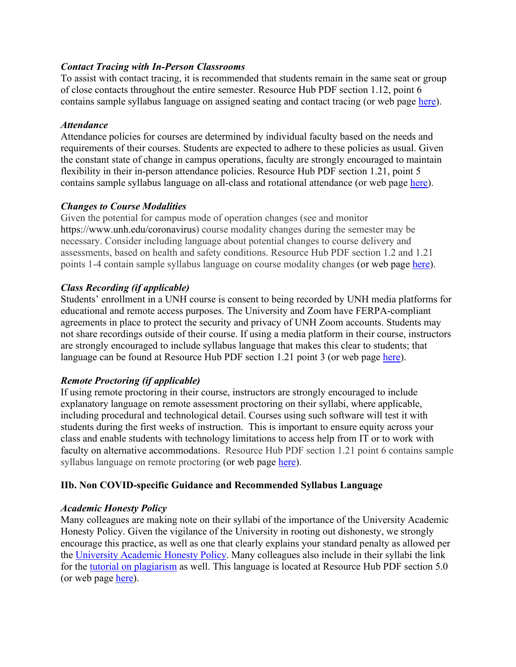#### *Contact Tracing with In-Person Classrooms*

To assist with contact tracing, it is recommended that students remain in the same seat or group of close contacts throughout the entire semester. Resource Hub PDF section 1.12, point 6 contains sample syllabus language on assigned seating and contact tracing (or web page [here\)](https://www.unh.edu/provost/guidance-fall-2020-instruction).

### *Attendance*

Attendance policies for courses are determined by individual faculty based on the needs and requirements of their courses. Students are expected to adhere to these policies as usual. Given the constant state of change in campus operations, faculty are strongly encouraged to maintain flexibility in their in-person attendance policies. Resource Hub PDF section 1.21, point 5 contains sample syllabus language on all-class and rotational attendance (or web page [here\)](https://www.unh.edu/provost/guidance-fall-2020-instruction).

## *Changes to Course Modalities*

Given the potential for campus mode of operation changes (see and monitor https://www.unh.edu/coronavirus) course modality changes during the semester may be necessary. Consider including language about potential changes to course delivery and assessments, based on health and safety conditions. Resource Hub PDF section 1.2 and 1.21 points 1-4 contain sample syllabus language on course modality changes (or web page [here\)](https://www.unh.edu/provost/guidance-fall-2020-instruction).

## *Class Recording (if applicable)*

Students' enrollment in a UNH course is consent to being recorded by UNH media platforms for educational and remote access purposes. The University and Zoom have FERPA-compliant agreements in place to protect the security and privacy of UNH Zoom accounts. Students may not share recordings outside of their course. If using a media platform in their course, instructors are strongly encouraged to include syllabus language that makes this clear to students; that language can be found at Resource Hub PDF section 1.21 point 3 (or web page [here\)](https://www.unh.edu/provost/guidance-fall-2020-instruction).

## *Remote Proctoring (if applicable)*

If using remote proctoring in their course, instructors are strongly encouraged to include explanatory language on remote assessment proctoring on their syllabi, where applicable, including procedural and technological detail. Courses using such software will test it with students during the first weeks of instruction. This is important to ensure equity across your class and enable students with technology limitations to access help from IT or to work with faculty on alternative accommodations. Resource Hub PDF section 1.21 point 6 contains sample syllabus language on remote proctoring (or web page [here\)](https://www.unh.edu/provost/guidance-fall-2020-instruction).

## **IIb. Non COVID-specific Guidance and Recommended Syllabus Language**

## *Academic Honesty Policy*

Many colleagues are making note on their syllabi of the importance of the University Academic Honesty Policy. Given the vigilance of the University in rooting out dishonesty, we strongly encourage this practice, as well as one that clearly explains your standard penalty as allowed per the [University](https://catalog.unh.edu/undergraduate/university-academic-requirements/academic-honesty/) Academic Honesty Policy. Many colleagues also include in their syllabi the link for the tutorial on [plagiarism](https://cola.unh.edu/academics/plagiarism-tutorial) as well. This language is located at Resource Hub PDF section 5.0 (or web page [here\)](https://www.unh.edu/provost/guidance-fall-2020-instruction).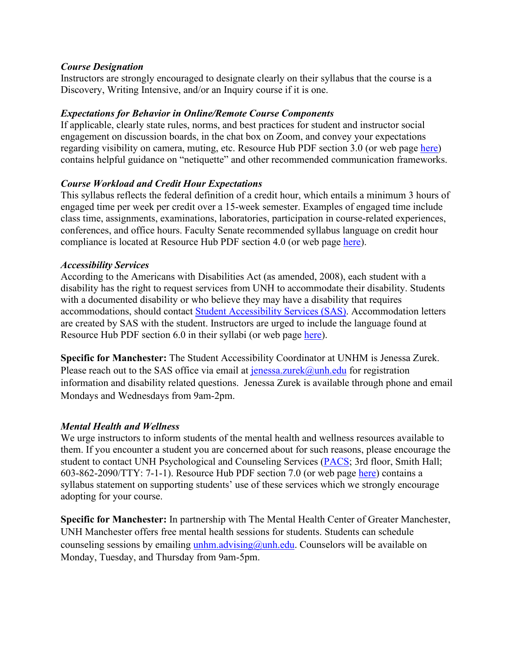#### *Course Designation*

Instructors are strongly encouraged to designate clearly on their syllabus that the course is a Discovery, Writing Intensive, and/or an Inquiry course if it is one.

## *Expectations for Behavior in Online/Remote Course Components*

If applicable, clearly state rules, norms, and best practices for student and instructor social engagement on discussion boards, in the chat box on Zoom, and convey your expectations regarding visibility on camera, muting, etc. Resource Hub PDF section 3.0 (or web page [here\)](https://www.unh.edu/provost/guidance-fall-2020-instruction) contains helpful guidance on "netiquette" and other recommended communication frameworks.

#### *Course Workload and Credit Hour Expectations*

This syllabus reflects the federal definition of a credit hour, which entails a minimum 3 hours of engaged time per week per credit over a 15-week semester. Examples of engaged time include class time, assignments, examinations, laboratories, participation in course-related experiences, conferences, and office hours. Faculty Senate recommended syllabus language on credit hour compliance is located at Resource Hub PDF section 4.0 (or web page [here\)](https://www.unh.edu/provost/guidance-fall-2020-instruction).

#### *Accessibility Services*

According to the Americans with Disabilities Act (as amended, 2008), each student with a disability has the right to request services from UNH to accommodate their disability. Students with a documented disability or who believe they may have a disability that requires accommodations, should contact [Student Accessibility Services \(SAS\).](https://www.unh.edu/studentaccessibility/) Accommodation letters are created by SAS with the student. Instructors are urged to include the language found at Resource Hub PDF section 6.0 in their syllabi (or web page [here\)](https://www.unh.edu/provost/guidance-fall-2020-instruction).

**Specific for Manchester:** The Student Accessibility Coordinator at UNHM is Jenessa Zurek. Please reach out to the SAS office via email at  $j$ enessa.zurek@unh.edu for registration information and disability related questions. Jenessa Zurek is available through phone and email Mondays and Wednesdays from 9am-2pm.

## *Mental Health and Wellness*

We urge instructors to inform students of the mental health and wellness resources available to them. If you encounter a student you are concerned about for such reasons, please encourage the student to contact UNH Psychological and Counseling Services [\(PACS;](https://www.unh.edu/pacs/) 3rd floor, Smith Hall; 603-862-2090/TTY: 7-1-1). Resource Hub PDF section 7.0 (or web page [here\)](https://www.unh.edu/provost/guidance-fall-2020-instruction) contains a syllabus statement on supporting students' use of these services which we strongly encourage adopting for your course.

**Specific for Manchester:** In partnership with The Mental Health Center of Greater Manchester, UNH Manchester offers free mental health sessions for students. Students can schedule counseling sessions by emailing  $unhm.addvising@unh.edu$ . Counselors will be available on Monday, Tuesday, and Thursday from 9am-5pm.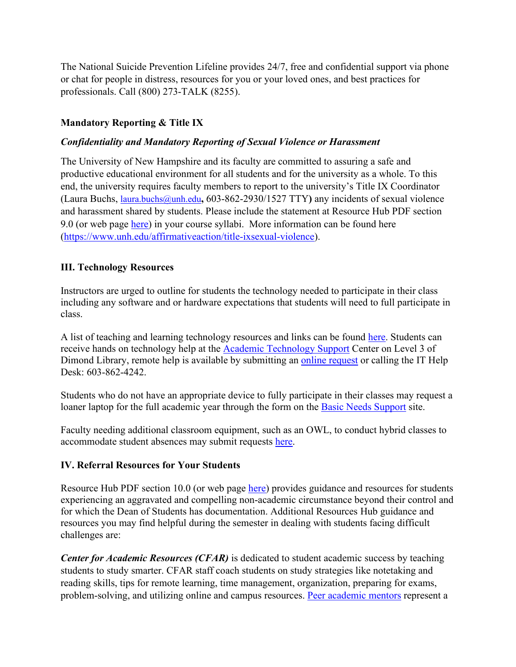The National Suicide Prevention Lifeline provides 24/7, free and confidential support via phone or chat for people in distress, resources for you or your loved ones, and best practices for professionals. Call (800) 273-TALK (8255).

## **Mandatory Reporting & Title IX**

### *Confidentiality and Mandatory Reporting of Sexual Violence or Harassment*

The University of New Hampshire and its faculty are committed to assuring a safe and productive educational environment for all students and for the university as a whole. To this end, the university requires faculty members to report to the university's Title IX Coordinator (Laura Buchs, [laura.buchs@unh.edu](mailto:laura.buchs@unh.edu)**,** 603-862-2930/1527 TTY**)** any incidents of sexual violence and harassment shared by students. Please include the statement at Resource Hub PDF section 9.0 (or web page [here\)](https://www.unh.edu/provost/guidance-fall-2020-instruction) in your course syllabi. More information can be found here [\(https://www.unh.edu/affirmativeaction/title-ixsexual-violence\)](https://www.unh.edu/affirmativeaction/title-ixsexual-violence).

#### **III. Technology Resources**

Instructors are urged to outline for students the technology needed to participate in their class including any software and or hardware expectations that students will need to full participate in class.

A list of teaching and learning technology resources and links can be found [here.](https://td.unh.edu/TDClient/60/Portal/KB/ArticleDet?ID=810) Students can receive hands on technology help at the [Academic Technology Support](https://www.unh.edu/it/at-support-center-atsc) Center on Level 3 of Dimond Library, remote help is available by submitting an [online request](https://td.unh.edu/TDClient/60/Portal/Requests/ServiceDet?ID=160) or calling the IT Help Desk: 603-862-4242.

Students who do not have an appropriate device to fully participate in their classes may request a loaner laptop for the full academic year through the form on the [Basic Needs Support](https://www.unh.edu/student-life/basic-needs) site.

Faculty needing additional classroom equipment, such as an OWL, to conduct hybrid classes to accommodate student absences may submit requests [here.](http://furious-d.unh.edu/av_request/request.php)

#### **IV. Referral Resources for Your Students**

Resource Hub PDF section 10.0 (or web page [here\)](https://www.unh.edu/provost/guidance-fall-2020-instruction) provides guidance and resources for students experiencing an aggravated and compelling non-academic circumstance beyond their control and for which the Dean of Students has documentation. Additional Resources Hub guidance and resources you may find helpful during the semester in dealing with students facing difficult challenges are:

*Center for Academic Resources (CFAR)* is dedicated to student academic success by teaching students to study smarter. CFAR staff coach students on study strategies like notetaking and reading skills, tips for remote learning, time management, organization, preparing for exams, problem-solving, and utilizing online and campus resources. [Peer academic mentors](https://nam12.safelinks.protection.outlook.com/?url=https%3A%2F%2Fwww.unh.edu%2Fcfar%2Facademic-mentors&data=04%7C01%7CKatherine.Ziemer%40unh.edu%7C4bf41e15c506465164b008d959201ec1%7Cd6241893512d46dc8d2bbe47e25f5666%7C0%7C0%7C637638816744668617%7CUnknown%7CTWFpbGZsb3d8eyJWIjoiMC4wLjAwMDAiLCJQIjoiV2luMzIiLCJBTiI6Ik1haWwiLCJXVCI6Mn0%3D%7C1000&sdata=SbEz%2FFvYzkNM6ejfT7T1ABcBhogghDj9ExLzNTC0GT4%3D&reserved=0) represent a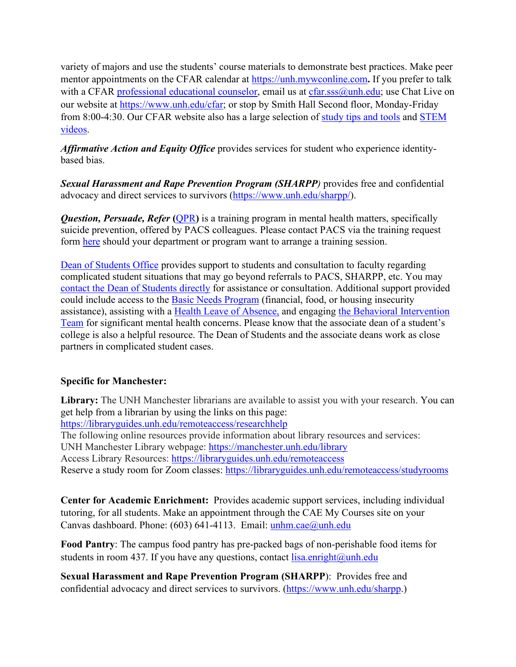variety of majors and use the students' course materials to demonstrate best practices. Make peer mentor appointments on the CFAR calendar at [https://unh.mywconline.com](https://nam12.safelinks.protection.outlook.com/?url=https%3A%2F%2Funh.mywconline.com%2F&data=04%7C01%7CKatherine.Ziemer%40unh.edu%7C4bf41e15c506465164b008d959201ec1%7Cd6241893512d46dc8d2bbe47e25f5666%7C0%7C0%7C637638816744673595%7CUnknown%7CTWFpbGZsb3d8eyJWIjoiMC4wLjAwMDAiLCJQIjoiV2luMzIiLCJBTiI6Ik1haWwiLCJXVCI6Mn0%3D%7C1000&sdata=W4j2pLQoGbytcDpsLes%2FWIWG09CYkfK1hBdbtn2aVzQ%3D&reserved=0)**.** If you prefer to talk with a CFAR [professional educational](https://nam12.safelinks.protection.outlook.com/?url=https%3A%2F%2Fwww.unh.edu%2Fcfar%2Fdrop-meetings-cfar&data=04%7C01%7CKatherine.Ziemer%40unh.edu%7C4bf41e15c506465164b008d959201ec1%7Cd6241893512d46dc8d2bbe47e25f5666%7C0%7C0%7C637638816744678576%7CUnknown%7CTWFpbGZsb3d8eyJWIjoiMC4wLjAwMDAiLCJQIjoiV2luMzIiLCJBTiI6Ik1haWwiLCJXVCI6Mn0%3D%7C1000&sdata=6vYgShH3MBV4Bfsepo%2FB%2FZwYszaaXRghw3ACPCCVLAk%3D&reserved=0) counselor, email us at [cfar.sss@unh.edu;](mailto:cfar.sss@unh.edu) use Chat Live on our website at [https://www.unh.edu/cfar;](https://nam12.safelinks.protection.outlook.com/?url=https%3A%2F%2Fwww.unh.edu%2Fcfar&data=04%7C01%7CKatherine.Ziemer%40unh.edu%7C4bf41e15c506465164b008d959201ec1%7Cd6241893512d46dc8d2bbe47e25f5666%7C0%7C0%7C637638816744683557%7CUnknown%7CTWFpbGZsb3d8eyJWIjoiMC4wLjAwMDAiLCJQIjoiV2luMzIiLCJBTiI6Ik1haWwiLCJXVCI6Mn0%3D%7C1000&sdata=yHft7wQzWLnaW8xEUTPdKzEZ9oTeQuUndb8l9uSotm0%3D&reserved=0) or stop by Smith Hall Second floor, Monday-Friday from 8:00-4:30. Our CFAR website also has a large selection of [study tips and tools](https://nam12.safelinks.protection.outlook.com/?url=https%3A%2F%2Fwww.unh.edu%2Fcfar%2Fstudy-tips-and-tools-0&data=04%7C01%7CKatherine.Ziemer%40unh.edu%7C4bf41e15c506465164b008d959201ec1%7Cd6241893512d46dc8d2bbe47e25f5666%7C0%7C0%7C637638816744688529%7CUnknown%7CTWFpbGZsb3d8eyJWIjoiMC4wLjAwMDAiLCJQIjoiV2luMzIiLCJBTiI6Ik1haWwiLCJXVCI6Mn0%3D%7C1000&sdata=2%2F7jcBwdGHbdqjKEJpI%2FtCSNm8nK5tAEc3UYseDphAQ%3D&reserved=0) and [STEM](https://nam12.safelinks.protection.outlook.com/?url=https%3A%2F%2Fwww.unh.edu%2Fcfar%2Fstem-resources&data=04%7C01%7CKatherine.Ziemer%40unh.edu%7C4bf41e15c506465164b008d959201ec1%7Cd6241893512d46dc8d2bbe47e25f5666%7C0%7C0%7C637638816744693506%7CUnknown%7CTWFpbGZsb3d8eyJWIjoiMC4wLjAwMDAiLCJQIjoiV2luMzIiLCJBTiI6Ik1haWwiLCJXVCI6Mn0%3D%7C1000&sdata=0cCbL5ubvvtTfZ%2BWf9f%2BIktZg%2F%2BGpeKkqAl2aS1W7xo%3D&reserved=0)  [videos.](https://nam12.safelinks.protection.outlook.com/?url=https%3A%2F%2Fwww.unh.edu%2Fcfar%2Fstem-resources&data=04%7C01%7CKatherine.Ziemer%40unh.edu%7C4bf41e15c506465164b008d959201ec1%7Cd6241893512d46dc8d2bbe47e25f5666%7C0%7C0%7C637638816744693506%7CUnknown%7CTWFpbGZsb3d8eyJWIjoiMC4wLjAwMDAiLCJQIjoiV2luMzIiLCJBTiI6Ik1haWwiLCJXVCI6Mn0%3D%7C1000&sdata=0cCbL5ubvvtTfZ%2BWf9f%2BIktZg%2F%2BGpeKkqAl2aS1W7xo%3D&reserved=0)

*Affirmative Action and Equity Office* provides services for student who experience identitybased bias.

*Sexual Harassment and Rape Prevention Program (SHARPP)* provides free and confidential advocacy and direct services to survivors [\(https://www.unh.edu/sharpp/\)](https://www.unh.edu/sharpp/).

*Question, Persuade, Refer* **(**[QPR](https://www.unh.edu/pacs/suicide-prevention/qpr-suicide-prevention-training#:%7E:text=QPR%2C%20which%20stands%20for%20Question,medical%20or%20mental%20health%20care.)**)** is a training program in mental health matters, specifically suicide prevention, offered by PACS colleagues. Please contact PACS via the training request form [here](https://www.unh.edu/pacs/suicide-prevention/qpr-suicide-prevention-training) should your department or program want to arrange a training session.

Dean of [Students](https://www.unh.edu/dean-of-students/) Office provides support to students and consultation to faculty regarding complicated student situations that may go beyond referrals to PACS, SHARPP, etc. You may contact the Dean of [Students](https://www.unh.edu/dean-of-students/about/contact) directly for assistance or consultation. Additional support provided could include access to the Basic Needs [Program](https://www.unh.edu/dean-of-students/getting-help/housing-food-financial-support) (financial, food, or housing insecurity assistance), assisting with a Health Leave of [Absence,](https://www.unh.edu/dean-of-students/processes-policies-protocols/health-leave-absence) and engaging the Behavioral [Intervention](https://www.unh.edu/dean-of-students/getting-help/behavioral-intervention-team) [Team](https://www.unh.edu/dean-of-students/getting-help/behavioral-intervention-team) for significant mental health concerns. Please know that the associate dean of a student's college is also a helpful resource. The Dean of Students and the associate deans work as close partners in complicated student cases.

# **Specific for Manchester:**

**Library:** The UNH Manchester librarians are available to assist you with your research. You can get help from a librarian by using the links on this page:

[https://libraryguides.unh.edu/remoteaccess/researchhelp](https://nam12.safelinks.protection.outlook.com/?url=https%3A%2F%2Flibraryguides.unh.edu%2Fremoteaccess%2Fresearchhelp&data=04%7C01%7CDan.Reagan%40unh.edu%7C98917735676a4fdbf2e708d9590fb974%7Cd6241893512d46dc8d2bbe47e25f5666%7C0%7C0%7C637638746325971725%7CUnknown%7CTWFpbGZsb3d8eyJWIjoiMC4wLjAwMDAiLCJQIjoiV2luMzIiLCJBTiI6Ik1haWwiLCJXVCI6Mn0%3D%7C1000&sdata=w2wDjWEvIQSqwrkRnEDZKiu%2F%2Bn1sp%2BJprG3fTQOYRdY%3D&reserved=0)

The following online resources provide information about library resources and services: UNH Manchester Library webpage: [https://manchester.unh.edu/library](https://nam12.safelinks.protection.outlook.com/?url=https%3A%2F%2Fmanchester.unh.edu%2Flibrary&data=04%7C01%7CDan.Reagan%40unh.edu%7C98917735676a4fdbf2e708d9590fb974%7Cd6241893512d46dc8d2bbe47e25f5666%7C0%7C0%7C637638746325971725%7CUnknown%7CTWFpbGZsb3d8eyJWIjoiMC4wLjAwMDAiLCJQIjoiV2luMzIiLCJBTiI6Ik1haWwiLCJXVCI6Mn0%3D%7C1000&sdata=k4q9bI%2BXzEmMKiasDInvGE17fbGhTCPZ2GYkqJDCzQw%3D&reserved=0)

Access Library Resources: [https://libraryguides.unh.edu/remoteaccess](https://nam12.safelinks.protection.outlook.com/?url=https%3A%2F%2Flibraryguides.unh.edu%2Fremoteaccess&data=04%7C01%7CDan.Reagan%40unh.edu%7C98917735676a4fdbf2e708d9590fb974%7Cd6241893512d46dc8d2bbe47e25f5666%7C0%7C0%7C637638746325971725%7CUnknown%7CTWFpbGZsb3d8eyJWIjoiMC4wLjAwMDAiLCJQIjoiV2luMzIiLCJBTiI6Ik1haWwiLCJXVCI6Mn0%3D%7C1000&sdata=5HWjQeR5BYiRWPTJwwIu4G2Tfj%2BgakZGyRfDixsBMo4%3D&reserved=0)

Reserve a study room for Zoom classes: [https://libraryguides.unh.edu/remoteaccess/studyrooms](https://nam12.safelinks.protection.outlook.com/?url=https%3A%2F%2Flibraryguides.unh.edu%2Fremoteaccess%2Fstudyrooms&data=04%7C01%7CDan.Reagan%40unh.edu%7C98917735676a4fdbf2e708d9590fb974%7Cd6241893512d46dc8d2bbe47e25f5666%7C0%7C0%7C637638746325981689%7CUnknown%7CTWFpbGZsb3d8eyJWIjoiMC4wLjAwMDAiLCJQIjoiV2luMzIiLCJBTiI6Ik1haWwiLCJXVCI6Mn0%3D%7C1000&sdata=%2Bj83EefpYVelyHrO%2FTqZcJsFFxvQnPt5v0OYDtdcaEw%3D&reserved=0)

**Center for Academic Enrichment:** Provides academic support services, including individual tutoring, for all students. Make an appointment through the CAE My Courses site on your Canvas dashboard. Phone: (603) 641-4113. Email: [unhm.cae@unh.edu](mailto:unhm.cae@unh.edu)

**Food Pantry**: The campus food pantry has pre-packed bags of non-perishable food items for students in room 437. If you have any questions, contact  $lisa.$ enright $@unh.edu$ 

**Sexual Harassment and Rape Prevention Program (SHARPP**): Provides free and confidential advocacy and direct services to survivors. [\(https://www.unh.edu/sharpp.](https://nam12.safelinks.protection.outlook.com/?url=https%3A%2F%2Fwww.unh.edu%2Fsharpp&data=04%7C01%7CDan.Reagan%40unh.edu%7C7bd499afe99c4dc01e5908d958f6a2c5%7Cd6241893512d46dc8d2bbe47e25f5666%7C0%7C0%7C637638638570442131%7CUnknown%7CTWFpbGZsb3d8eyJWIjoiMC4wLjAwMDAiLCJQIjoiV2luMzIiLCJBTiI6Ik1haWwiLCJXVCI6Mn0%3D%7C1000&sdata=hDpQLYk1a7k0loi2H%2FDxY71bqzr2Ok4Up4eNbT7lxJw%3D&reserved=0))